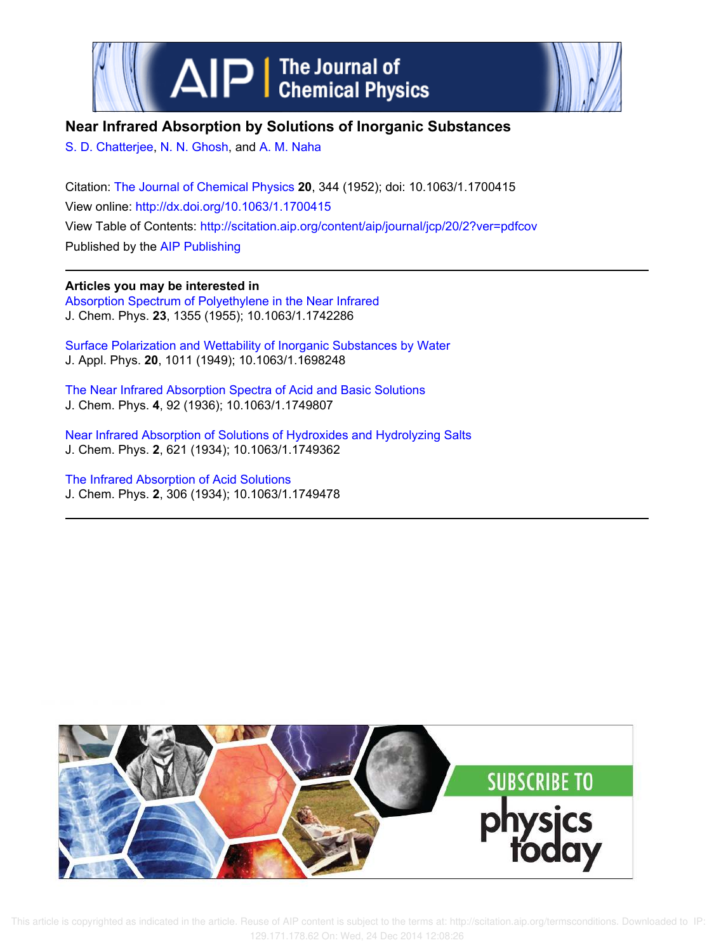



## **Near Infrared Absorption by Solutions of Inorganic Substances**

S. D. Chatterjee, N. N. Ghosh, and A. M. Naha

Citation: The Journal of Chemical Physics **20**, 344 (1952); doi: 10.1063/1.1700415 View online: http://dx.doi.org/10.1063/1.1700415 View Table of Contents: http://scitation.aip.org/content/aip/journal/jcp/20/2?ver=pdfcov Published by the AIP Publishing

**Articles you may be interested in** Absorption Spectrum of Polyethylene in the Near Infrared J. Chem. Phys. **23**, 1355 (1955); 10.1063/1.1742286

Surface Polarization and Wettability of Inorganic Substances by Water J. Appl. Phys. **20**, 1011 (1949); 10.1063/1.1698248

The Near Infrared Absorption Spectra of Acid and Basic Solutions J. Chem. Phys. **4**, 92 (1936); 10.1063/1.1749807

Near Infrared Absorption of Solutions of Hydroxides and Hydrolyzing Salts J. Chem. Phys. **2**, 621 (1934); 10.1063/1.1749362

The Infrared Absorption of Acid Solutions J. Chem. Phys. **2**, 306 (1934); 10.1063/1.1749478



 This article is copyrighted as indicated in the article. Reuse of AIP content is subject to the terms at: http://scitation.aip.org/termsconditions. Downloaded to IP: 129.171.178.62 On: Wed, 24 Dec 2014 12:08:26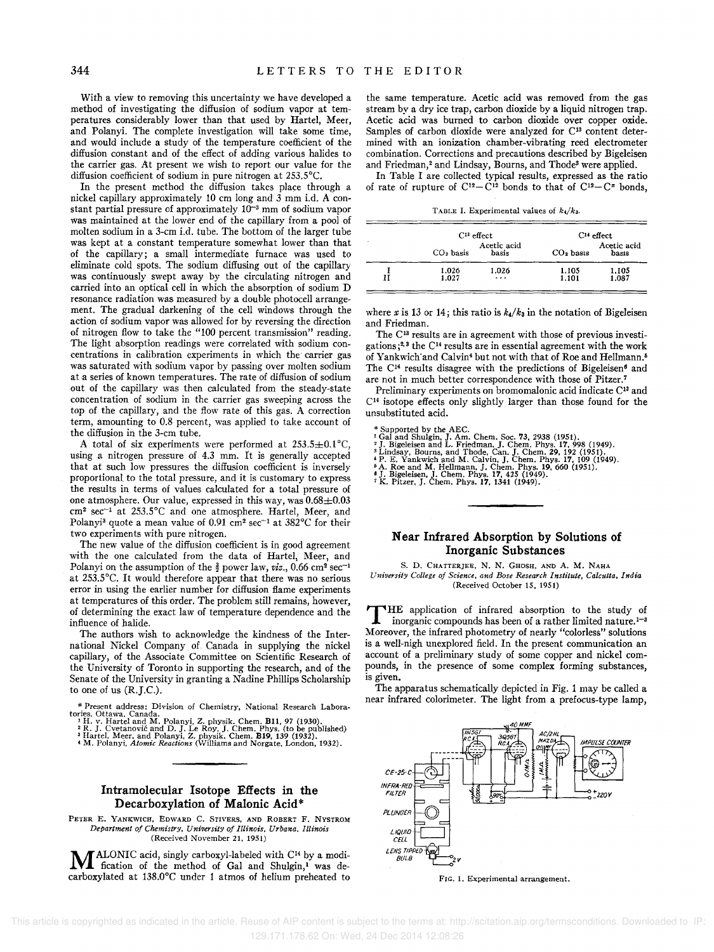With a view to removing this uncertainty we have developed a method of investigating the diffusion of sodium vapor at temperatures considerably lower than that used by Hartel, Meer, and Polanyi. The complete investigation will take some time, and would include a study of the temperature coefficient of the diffusion constant and of the effect of adding various halides to the carrier gas. At present we wish to report our value for the diffusion coefficient of sodium in pure nitrogen at 253.5°C.

In the present method the diffusion takes place through a nickel capillary approximately 10 em long and 3 mm Ld. A constant partial pressure of approximately  $10^{-3}$  mm of sodium vapor was maintained at the lower end of the capillary from a pool of molten sodium in a 3-cm i.d. tube. The bottom of the larger tube was kept at a constant temperature somewhat lower than that of the capillary; a small intermediate furnace was used to eliminate cold spots. The sodium diffusing out of the capillary was continuously swept away by the circulating nitrogen and carried into an optical cell in which the absorption of sodium D resonance radiation was measured by a double photocell arrangement. The gradual darkening of the cell windows through the action of sodium vapor was allowed for by reversing the direction of nitrogen flow to take the "100 percent transmission" reading. The light absorption readings were correlated with sodium concentrations in calibration experiments in which the carrier gas was saturated with sodium vapor by passing over molten sodium ata series of known temperatures. The rate of diffusion of sodium out of the capillary was then calculated from the steady-state concentration of sodium in the carrier gas sweeping across the top of the capillary, and the flow rate of this gas. A correction term, amounting to 0.8 percent, was applied to take account of the diffusion in the 3-cm tube.

A total of six experiments were performed at  $253.5 \pm 0.1^{\circ} \text{C}$ , using a nitrogen pressure of 4.3 mm. It is generally accepted that at such low pressures the diffusion coefficient is inversely proportional to the total pressure, and it is customary to express the results in terms of values calculated for a total pressure of one atmosphere. Our value, expressed in this way, was  $0.68 \pm 0.03$ cm2 sec-1 at 253.5°C and one atmosphere. Hartel, Meer, and Polanyi<sup>3</sup> quote a mean value of 0.91 cm<sup>2</sup> sec<sup>-1</sup> at  $382^{\circ}$ C for their two experiments with pure nitrogen.

The new value of the diffusion coefficient is in good agreement with the one calculated from the data of Hartel, Meer, and Polanyi on the assumption of the  $\frac{3}{2}$  power law, *viz.*, 0.66 cm<sup>2</sup> sec<sup>-1</sup> at 253.5°C. It would therefore appear that there was no serious error in using the earlier number for diffusion flame experiments at temperatures of this order. The problem still remains, however, of determining the exact law of temperature dependence and the influence of halide.

The authors wish to acknowledge the kindness of the International Nickel Company of Canada in supplying the nickel capillary, of the Associate Committee on Scientific Research of the University of Toronto in supporting the research, and of the Senate of the University in granting a Nadine Phillips Scholarship to one of us (R.J.C.).

- \* Present address: Division of Chemistry, National Research Labora-<br>tories, Ottawa, Canada.<br>
1H. v. Hartel and M. Polanyi, Z. physik. Chem. B11, 97 (1930).<br>
<sup>2</sup> R. J. Cvetanović and D. J. Le Roy, J. Chem. Phys. (to be pub
- 
- 

**Intramolecular Isotope Effects in the Decarboxylation of Malonic Acid\*** 

PETER E. YANKWICH. EDWARD C. STIVERS. AND ROBERT F. NYSTROM *Department of Chemistry. University of Illinois, Urbana, Illinois*  (Received November 21. 1951)

**M** ALONIC acid, singly carboxyl-labeled with C<sup>14</sup> by a modification of the method of Gal and Shulgin,<sup>1</sup> was de-ALONIC acid, singly carboxyl-labeled with C<sup>14</sup> by a modicarboxylated at 138.0°C under 1 atmos of helium preheated to the same temperature. Acetic acid was removed from the gas stream by a dry ice trap, carbon dioxide by a liquid nitrogen trap. Acetic acid was burned to carbon dioxide over copper oxide. Samples of carbon dioxide were analyzed for C<sup>13</sup> content determined with an ionization chamber-vibrating reed electrometer combination. Corrections and precautions described by Bigeleisen and Friedman,<sup>2</sup> and Lindsay, Bourns, and Thode<sup>3</sup> were applied.

In Table I are collected typical results, expressed as the ratio of rate of rupture of  $C^{12}-C^{12}$  bonds to that of  $C^{12}-C^2$  bonds,

TABLE I. Experimental values of  $k_4/k_3$ .

|   |                | $C^{13}$ effect      |                | $C14$ effect         |  |
|---|----------------|----------------------|----------------|----------------------|--|
|   | $CO2$ basis    | Acetic acid<br>basis | $CO2$ basis    | Acetic acid<br>basis |  |
| Н | 1.026<br>1.027 | 1.026<br>$\cdots$    | 1,105<br>1.101 | 1.105<br>1.087       |  |

where  $x$  is 13 or 14; this ratio is  $k_4/k_3$  in the notation of Bigeleisen and Friedman.

The C<sup>13</sup> results are in agreement with those of previous investigations;2.3 the CI4 results are in essential agreement with the work of Yankwich'and Calvin<sup>4</sup> but not with that of Roe and Hellmann.<sup>5</sup> The  $C<sup>14</sup>$  results disagree with the predictions of Bigeleisen<sup>6</sup> and are not in much better correspondence with those of Pitzer. <sup>7</sup>

Preliminary experiments on bromomalonic acid indicate C<sup>13</sup> and  $C<sup>14</sup>$  isotope effects only slightly larger than those found for the unsubstituted acid.

- 
- 
- \* Supported by the AEC.<br>  $^*$  Supported by the AEC.<br>  $^1$  Gal and Shulgin, J. Am. Chem, P. (1981, 1988, 1989).<br>  $^2$  J. Bigeleisen and L. Friedman, J. Chem. Phys. 17, 998 (1949).<br>  $^3$  Lindsay, Bourns, and Thode, Can. J.
- 
- 
- 

## **N ear Infrared Absorption by Solutions of Inorganic Substances**

s. D. CHATTERJEE. N. N. GHOSH. AND A. M. NAHA *University College of Science. and Bose Research Institute. Calcutta. India*  (Received October 15. 1951)

THE application of infrared absorption to the study of inorganic compounds has been of a rather limited nature.<sup>1-3</sup> Moreover, the infrared photometry of nearly "colorless" solutions HE application of infrared absorption to the study of inorganic compounds has been of a rather limited nature.<sup>1-3</sup> is a well-nigh unexplored field. In the present communication an account of a preliminary study of some copper and nickel compounds, in the presence of some complex forming substances, is given.

The apparatus schematically depicted in Fig. 1 may be called a near infrared colorimeter. The light from a prefocus-type lamp,



**FIG. 1. Experimental arrangement.**